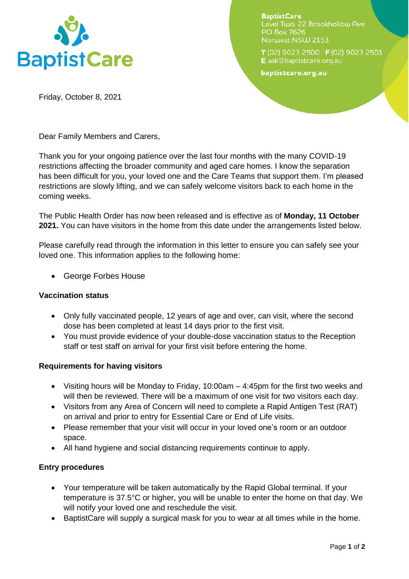

**BaptistCare** Level Two, 22 Brookhollow Ave PO Box 7626 Norwest NSW 2153

T(02) 9023 2500 F(02) 9023 2501 E ask@baptistcare.org.au

baptistcare.org.au

Friday, October 8, 2021

Dear Family Members and Carers,

Thank you for your ongoing patience over the last four months with the many COVID-19 restrictions affecting the broader community and aged care homes. I know the separation has been difficult for you, your loved one and the Care Teams that support them. I'm pleased restrictions are slowly lifting, and we can safely welcome visitors back to each home in the coming weeks.

The Public Health Order has now been released and is effective as of **Monday, 11 October 2021.** You can have visitors in the home from this date under the arrangements listed below.

Please carefully read through the information in this letter to ensure you can safely see your loved one. This information applies to the following home:

George Forbes House

# **Vaccination status**

- Only fully vaccinated people, 12 years of age and over, can visit, where the second dose has been completed at least 14 days prior to the first visit.
- You must provide evidence of your double-dose vaccination status to the Reception staff or test staff on arrival for your first visit before entering the home.

# **Requirements for having visitors**

- Visiting hours will be Monday to Friday, 10:00am 4:45pm for the first two weeks and will then be reviewed. There will be a maximum of one visit for two visitors each day.
- Visitors from any Area of Concern will need to complete a Rapid Antigen Test (RAT) on arrival and prior to entry for Essential Care or End of Life visits.
- Please remember that your visit will occur in your loved one's room or an outdoor space.
- All hand hygiene and social distancing requirements continue to apply.

# **Entry procedures**

- Your temperature will be taken automatically by the Rapid Global terminal. If your temperature is 37.5°C or higher, you will be unable to enter the home on that day. We will notify your loved one and reschedule the visit.
- BaptistCare will supply a surgical mask for you to wear at all times while in the home.